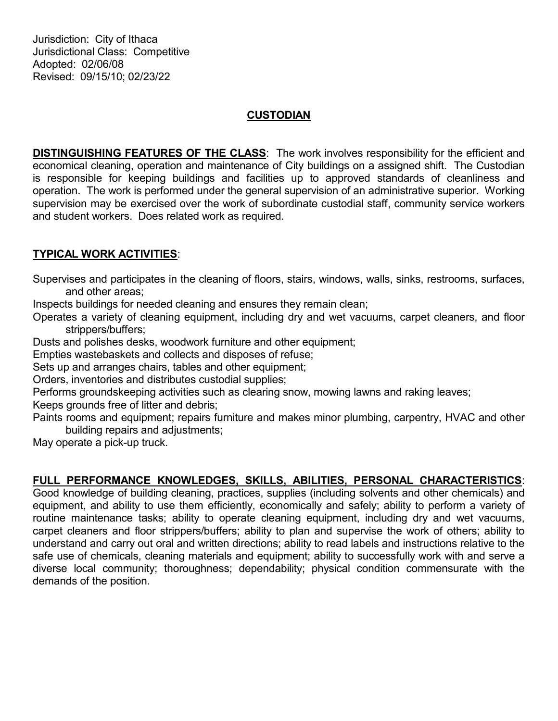Jurisdiction: City of Ithaca Jurisdictional Class: Competitive Adopted: 02/06/08 Revised: 09/15/10; 02/23/22

## **CUSTODIAN**

DISTINGUISHING FEATURES OF THE CLASS: The work involves responsibility for the efficient and economical cleaning, operation and maintenance of City buildings on a assigned shift. The Custodian is responsible for keeping buildings and facilities up to approved standards of cleanliness and operation. The work is performed under the general supervision of an administrative superior. Working supervision may be exercised over the work of subordinate custodial staff, community service workers and student workers. Does related work as required.

## TYPICAL WORK ACTIVITIES:

Supervises and participates in the cleaning of floors, stairs, windows, walls, sinks, restrooms, surfaces, and other areas;

Inspects buildings for needed cleaning and ensures they remain clean;

Operates a variety of cleaning equipment, including dry and wet vacuums, carpet cleaners, and floor strippers/buffers;

Dusts and polishes desks, woodwork furniture and other equipment;

Empties wastebaskets and collects and disposes of refuse;

Sets up and arranges chairs, tables and other equipment;

Orders, inventories and distributes custodial supplies;

Performs groundskeeping activities such as clearing snow, mowing lawns and raking leaves;

Keeps grounds free of litter and debris;

Paints rooms and equipment; repairs furniture and makes minor plumbing, carpentry, HVAC and other building repairs and adjustments;

May operate a pick-up truck.

## FULL PERFORMANCE KNOWLEDGES, SKILLS, ABILITIES, PERSONAL CHARACTERISTICS:

Good knowledge of building cleaning, practices, supplies (including solvents and other chemicals) and equipment, and ability to use them efficiently, economically and safely; ability to perform a variety of routine maintenance tasks; ability to operate cleaning equipment, including dry and wet vacuums, carpet cleaners and floor strippers/buffers; ability to plan and supervise the work of others; ability to understand and carry out oral and written directions; ability to read labels and instructions relative to the safe use of chemicals, cleaning materials and equipment; ability to successfully work with and serve a diverse local community; thoroughness; dependability; physical condition commensurate with the demands of the position.